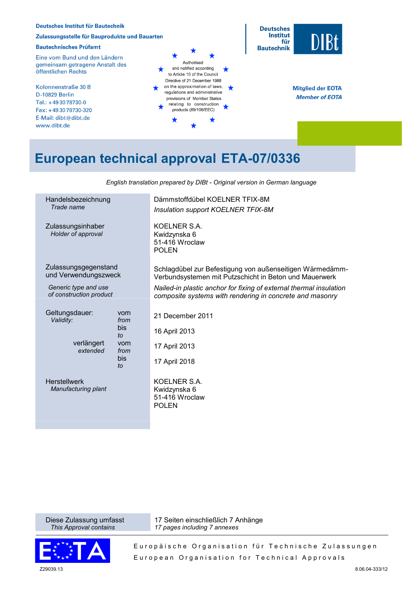

# **European technical approval ETA-07/0336**

| Handelsbezeichnung<br>Trade name                |             | Dämmstoffdübel KOELNER TFIX-8M<br>Insulation support KOELNER TFIX-8M                                                           |
|-------------------------------------------------|-------------|--------------------------------------------------------------------------------------------------------------------------------|
| Zulassungsinhaber<br>Holder of approval         |             | KOELNER S.A.<br>Kwidzynska 6<br>51-416 Wroclaw<br><b>POLEN</b>                                                                 |
| Zulassungsgegenstand<br>und Verwendungszweck    |             | Schlagdübel zur Befestigung von außenseitigen Wärmedämm-<br>Verbundsystemen mit Putzschicht in Beton und Mauerwerk             |
| Generic type and use<br>of construction product |             | Nailed-in plastic anchor for fixing of external thermal insulation<br>composite systems with rendering in concrete and masonry |
| Geltungsdauer:<br>Validity:                     | vom<br>from | 21 December 2011                                                                                                               |
|                                                 | bis<br>to   | 16 April 2013                                                                                                                  |
| verlängert<br>extended                          | vom<br>from | 17 April 2013                                                                                                                  |
|                                                 | bis<br>to   | 17 April 2018                                                                                                                  |
| <b>Herstellwerk</b><br>Manufacturing plant      |             | KOELNER S.A.<br>Kwidzynska 6<br>51-416 Wroclaw<br><b>POLEN</b>                                                                 |

*English translation prepared by DIBt - Original version in German language* 

Diese Zulassung umfasst *This Approval contains*



Europäische Organisation für Technische Zulassungen European Organisation for Technical Approvals

17 Seiten einschließlich 7 Anhänge

*17 pages including 7 annexes*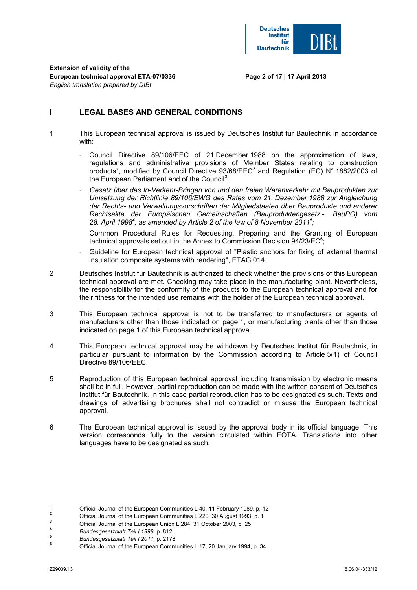

**Page 2 of 17 | 17 April 2013** 

## **I LEGAL BASES AND GENERAL CONDITIONS**

- 1 This European technical approval is issued by Deutsches Institut für Bautechnik in accordance with:
	- Council Directive 89/106/EEC of 21 December 1988 on the approximation of laws, regulations and administrative provisions of Member States relating to construction products*<sup>1</sup>* , modified by Council Directive 93/68/EEC*<sup>2</sup>* and Regulation (EC) N° 1882/2003 of the European Parliament and of the Council*<sup>3</sup>* ;
	- *Gesetz über das In-Verkehr-Bringen von und den freien Warenverkehr mit Bauprodukten zur Umsetzung der Richtlinie 89/106/EWG des Rates vom 21. Dezember 1988 zur Angleichung der Rechts- und Verwaltungsvorschriften der Mitgliedstaaten über Bauprodukte und anderer Rechtsakte der Europäischen Gemeinschaften (Bauproduktengesetz - BauPG) vom 28. April 1998<sup>4</sup> , as amended by Article 2 of the law of 8 November 2011<sup>5</sup> ;*
	- Common Procedural Rules for Requesting, Preparing and the Granting of European technical approvals set out in the Annex to Commission Decision 94/23/EC**<sup>6</sup>** ;
	- Guideline for European technical approval of "Plastic anchors for fixing of external thermal insulation composite systems with rendering", ETAG 014.
- 2 Deutsches Institut für Bautechnik is authorized to check whether the provisions of this European technical approval are met. Checking may take place in the manufacturing plant. Nevertheless, the responsibility for the conformity of the products to the European technical approval and for their fitness for the intended use remains with the holder of the European technical approval.
- 3 This European technical approval is not to be transferred to manufacturers or agents of manufacturers other than those indicated on page 1, or manufacturing plants other than those indicated on page 1 of this European technical approval.
- 4 This European technical approval may be withdrawn by Deutsches Institut für Bautechnik, in particular pursuant to information by the Commission according to Article 5(1) of Council Directive 89/106/EEC.
- 5 Reproduction of this European technical approval including transmission by electronic means shall be in full. However, partial reproduction can be made with the written consent of Deutsches Institut für Bautechnik. In this case partial reproduction has to be designated as such. Texts and drawings of advertising brochures shall not contradict or misuse the European technical approval.
- 6 The European technical approval is issued by the approval body in its official language. This version corresponds fully to the version circulated within EOTA. Translations into other languages have to be designated as such.
- **1** Official Journal of the European Communities L 40, 11 February 1989, p. 12 **2**
- Official Journal of the European Communities L 220, 30 August 1993, p. 1
- **3**  $\frac{3}{4}$  Official Journal of the European Union L 284, 31 October 2003, p. 25
- **<sup>4</sup>** *Bundesgesetzblatt Teil I 1998*, p. 812 **<sup>5</sup>**

*Bundesgesetzblatt Teil I 2011*, p. 2178 **<sup>6</sup>**

Official Journal of the European Communities L 17, 20 January 1994, p. 34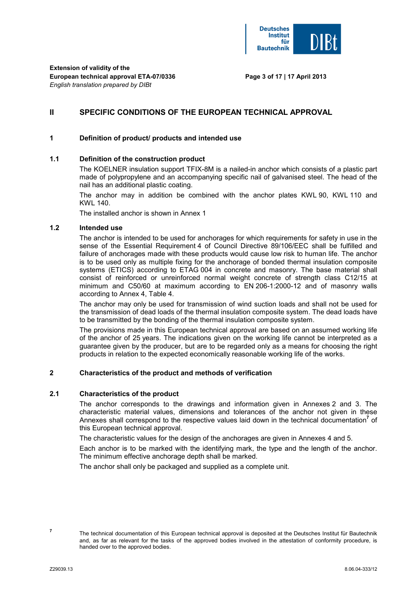

## **II SPECIFIC CONDITIONS OF THE EUROPEAN TECHNICAL APPROVAL**

#### **1 Definition of product/ products and intended use**

#### **1.1 Definition of the construction product**

 The KOELNER insulation support TFIX-8M is a nailed-in anchor which consists of a plastic part made of polypropylene and an accompanying specific nail of galvanised steel. The head of the nail has an additional plastic coating.

 The anchor may in addition be combined with the anchor plates KWL 90, KWL 110 and KWL 140.

The installed anchor is shown in Annex 1

## **1.2 Intended use**

 The anchor is intended to be used for anchorages for which requirements for safety in use in the sense of the Essential Requirement 4 of Council Directive 89/106/EEC shall be fulfilled and failure of anchorages made with these products would cause low risk to human life. The anchor is to be used only as multiple fixing for the anchorage of bonded thermal insulation composite systems (ETICS) according to ETAG 004 in concrete and masonry. The base material shall consist of reinforced or unreinforced normal weight concrete of strength class C12/15 at minimum and C50/60 at maximum according to EN 206-1:2000-12 and of masonry walls according to Annex 4, Table 4.

 The anchor may only be used for transmission of wind suction loads and shall not be used for the transmission of dead loads of the thermal insulation composite system. The dead loads have to be transmitted by the bonding of the thermal insulation composite system.

 The provisions made in this European technical approval are based on an assumed working life of the anchor of 25 years. The indications given on the working life cannot be interpreted as a guarantee given by the producer, but are to be regarded only as a means for choosing the right products in relation to the expected economically reasonable working life of the works.

#### **2 Characteristics of the product and methods of verification**

#### **2.1 Characteristics of the product**

 The anchor corresponds to the drawings and information given in Annexes 2 and 3. The characteristic material values, dimensions and tolerances of the anchor not given in these Annexes shall correspond to the respective values laid down in the technical documentation<sup>7</sup> of this European technical approval.

The characteristic values for the design of the anchorages are given in Annexes 4 and 5.

 Each anchor is to be marked with the identifying mark, the type and the length of the anchor. The minimum effective anchorage depth shall be marked.

The anchor shall only be packaged and supplied as a complete unit.

**7**

The technical documentation of this European technical approval is deposited at the Deutsches Institut für Bautechnik and, as far as relevant for the tasks of the approved bodies involved in the attestation of conformity procedure, is handed over to the approved bodies.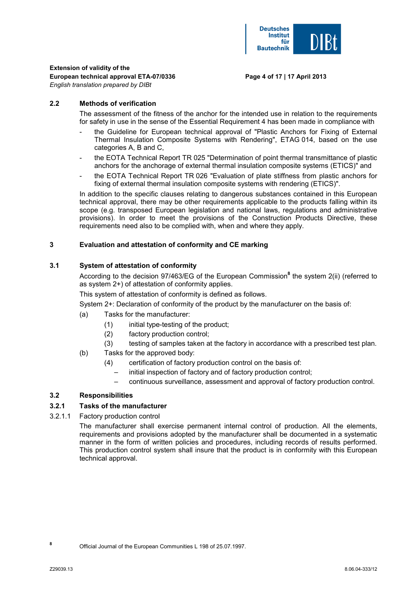

#### **Page 4 of 17 | 17 April 2013**

## **2.2 Methods of verification**

 The assessment of the fitness of the anchor for the intended use in relation to the requirements for safety in use in the sense of the Essential Requirement 4 has been made in compliance with

- the Guideline for European technical approval of "Plastic Anchors for Fixing of External Thermal Insulation Composite Systems with Rendering", ETAG 014, based on the use categories A, B and C,
- the EOTA Technical Report TR 025 "Determination of point thermal transmittance of plastic anchors for the anchorage of external thermal insulation composite systems (ETICS)" and
- the EOTA Technical Report TR 026 "Evaluation of plate stiffness from plastic anchors for fixing of external thermal insulation composite systems with rendering (ETICS)".

 In addition to the specific clauses relating to dangerous substances contained in this European technical approval, there may be other requirements applicable to the products falling within its scope (e.g. transposed European legislation and national laws, regulations and administrative provisions). In order to meet the provisions of the Construction Products Directive, these requirements need also to be complied with, when and where they apply.

## **3 Evaluation and attestation of conformity and CE marking**

#### **3.1 System of attestation of conformity**

According to the decision 97/463/EG of the European Commission<sup>8</sup> the system 2(ii) (referred to as system 2+) of attestation of conformity applies.

This system of attestation of conformity is defined as follows.

System 2+: Declaration of conformity of the product by the manufacturer on the basis of:

- (a) Tasks for the manufacturer:
	- (1) initial type-testing of the product;
	- (2) factory production control;
	- (3) testing of samples taken at the factory in accordance with a prescribed test plan.
- (b) Tasks for the approved body:
	- (4) certification of factory production control on the basis of:
		- initial inspection of factory and of factory production control:
		- continuous surveillance, assessment and approval of factory production control.

#### **3.2 Responsibilities**

#### **3.2.1 Tasks of the manufacturer**

#### 3.2.1.1 Factory production control

 The manufacturer shall exercise permanent internal control of production. All the elements, requirements and provisions adopted by the manufacturer shall be documented in a systematic manner in the form of written policies and procedures, including records of results performed. This production control system shall insure that the product is in conformity with this European technical approval.

**8**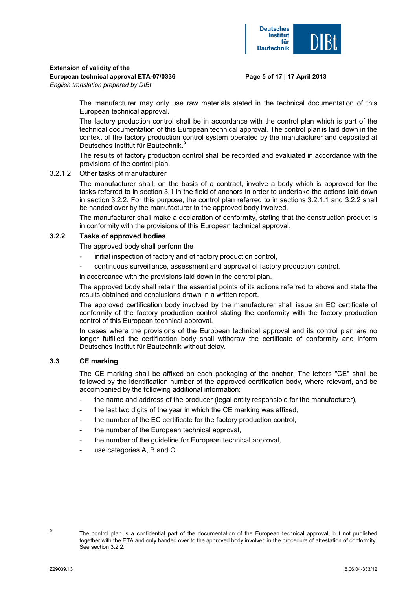

#### **Page 5 of 17 | 17 April 2013**

 The manufacturer may only use raw materials stated in the technical documentation of this European technical approval*.*

 The factory production control shall be in accordance with the control plan which is part of the technical documentation of this European technical approval*.* The control plan is laid down in the context of the factory production control system operated by the manufacturer and deposited at Deutsches Institut für Bautechnik.**<sup>9</sup>**

 The results of factory production control shall be recorded and evaluated in accordance with the provisions of the control plan.

#### 3.2.1.2 Other tasks of manufacturer

 The manufacturer shall, on the basis of a contract, involve a body which is approved for the tasks referred to in section 3.1 in the field of anchors in order to undertake the actions laid down in section 3.2.2. For this purpose, the control plan referred to in sections 3.2.1.1 and 3.2.2 shall be handed over by the manufacturer to the approved body involved.

 The manufacturer shall make a declaration of conformity, stating that the construction product is in conformity with the provisions of this European technical approval.

#### **3.2.2 Tasks of approved bodies**

The approved body shall perform the

- initial inspection of factory and of factory production control,
- continuous surveillance, assessment and approval of factory production control,

in accordance with the provisions laid down in the control plan.

 The approved body shall retain the essential points of its actions referred to above and state the results obtained and conclusions drawn in a written report.

 The approved certification body involved by the manufacturer shall issue an EC certificate of conformity of the factory production control stating the conformity with the factory production control of this European technical approval.

 In cases where the provisions of the European technical approval and its control plan are no longer fulfilled the certification body shall withdraw the certificate of conformity and inform Deutsches Institut für Bautechnik without delay.

#### **3.3 CE marking**

 The CE marking shall be affixed on each packaging of the anchor. The letters "CE" shall be followed by the identification number of the approved certification body, where relevant, and be accompanied by the following additional information:

- the name and address of the producer (legal entity responsible for the manufacturer),
- the last two digits of the year in which the CE marking was affixed,
- the number of the EC certificate for the factory production control,
- the number of the European technical approval,
- the number of the guideline for European technical approval,
- use categories A, B and C.

**9**

The control plan is a confidential part of the documentation of the European technical approval, but not published together with the ETA and only handed over to the approved body involved in the procedure of attestation of conformity. See section 3.2.2.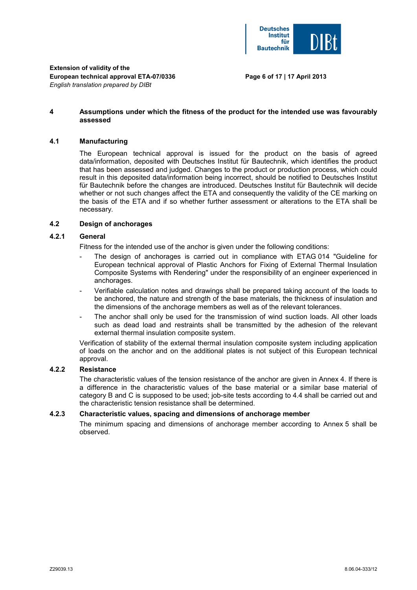

**Page 6 of 17 | 17 April 2013** 

#### **4 Assumptions under which the fitness of the product for the intended use was favourably assessed**

#### **4.1 Manufacturing**

 The European technical approval is issued for the product on the basis of agreed data/information, deposited with Deutsches Institut für Bautechnik, which identifies the product that has been assessed and judged. Changes to the product or production process, which could result in this deposited data/information being incorrect, should be notified to Deutsches Institut für Bautechnik before the changes are introduced. Deutsches Institut für Bautechnik will decide whether or not such changes affect the ETA and consequently the validity of the CE marking on the basis of the ETA and if so whether further assessment or alterations to the ETA shall be necessary.

## **4.2 Design of anchorages**

#### **4.2.1 General**

Fitness for the intended use of the anchor is given under the following conditions:

- The design of anchorages is carried out in compliance with ETAG 014 "Guideline for European technical approval of Plastic Anchors for Fixing of External Thermal Insulation Composite Systems with Rendering" under the responsibility of an engineer experienced in anchorages.
- Verifiable calculation notes and drawings shall be prepared taking account of the loads to be anchored, the nature and strength of the base materials, the thickness of insulation and the dimensions of the anchorage members as well as of the relevant tolerances.
- The anchor shall only be used for the transmission of wind suction loads. All other loads such as dead load and restraints shall be transmitted by the adhesion of the relevant external thermal insulation composite system.

 Verification of stability of the external thermal insulation composite system including application of loads on the anchor and on the additional plates is not subject of this European technical approval.

## **4.2.2 Resistance**

 The characteristic values of the tension resistance of the anchor are given in Annex 4. If there is a difference in the characteristic values of the base material or a similar base material of category B and C is supposed to be used; job-site tests according to 4.4 shall be carried out and the characteristic tension resistance shall be determined.

#### **4.2.3 Characteristic values, spacing and dimensions of anchorage member**

 The minimum spacing and dimensions of anchorage member according to Annex 5 shall be observed.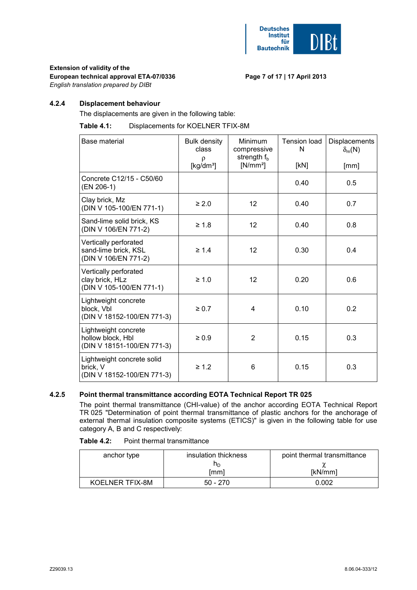

**Page 7 of 17 | 17 April 2013** 

#### **Extension of validity of the European technical approval ETA-07/0336**  *English translation prepared by DIBt*

## **4.2.4 Displacement behaviour**

The displacements are given in the following table:

#### **Table 4.1:** Displacements for KOELNER TFIX-8M

| <b>Base material</b>                                                    | <b>Bulk density</b><br>class<br>ρ<br>[kg/dm <sup>3</sup> ] | Minimum<br>compressive<br>strength $fb$<br>$[N/mm^2]$ | <b>Tension load</b><br>N<br>[kN] | Displacements<br>$\delta_{m}(N)$<br>[mm] |
|-------------------------------------------------------------------------|------------------------------------------------------------|-------------------------------------------------------|----------------------------------|------------------------------------------|
| Concrete C12/15 - C50/60<br>(EN 206-1)                                  |                                                            |                                                       | 0.40                             | 0.5                                      |
| Clay brick, Mz<br>(DIN V 105-100/EN 771-1)                              | $\geq 2.0$                                                 | 12                                                    | 0.40                             | 0.7                                      |
| Sand-lime solid brick, KS<br>(DIN V 106/EN 771-2)                       | $\geq 1.8$                                                 | 12 <sup>2</sup>                                       | 0.40                             | 0.8                                      |
| Vertically perforated<br>sand-lime brick, KSL<br>(DIN V 106/EN 771-2)   | $\geq 1.4$                                                 | 12                                                    | 0.30                             | 0.4                                      |
| Vertically perforated<br>clay brick, HLz<br>(DIN V 105-100/EN 771-1)    | $\geq 1.0$                                                 | 12                                                    | 0.20                             | 0.6                                      |
| Lightweight concrete<br>block, Vbl<br>(DIN V 18152-100/EN 771-3)        | $\geq 0.7$                                                 | 4                                                     | 0.10                             | 0.2                                      |
| Lightweight concrete<br>hollow block, Hbl<br>(DIN V 18151-100/EN 771-3) | $\geq 0.9$                                                 | $\overline{2}$                                        | 0.15                             | 0.3                                      |
| Lightweight concrete solid<br>brick, V<br>(DIN V 18152-100/EN 771-3)    | $\geq 1.2$                                                 | 6                                                     | 0.15                             | 0.3                                      |

## **4.2.5 Point thermal transmittance according EOTA Technical Report TR 025**

 The point thermal transmittance (CHI-value) of the anchor according EOTA Technical Report TR 025 "Determination of point thermal transmittance of plastic anchors for the anchorage of external thermal insulation composite systems (ETICS)" is given in the following table for use category A, B and C respectively:

 **Table 4.2:** Point thermal transmittance

| anchor type     | insulation thickness | point thermal transmittance |
|-----------------|----------------------|-----------------------------|
|                 | n <sub>n</sub>       |                             |
|                 | [mm]                 | [kN/mm]                     |
| KOELNER TFIX-8M | $50 - 270$           | 0.002                       |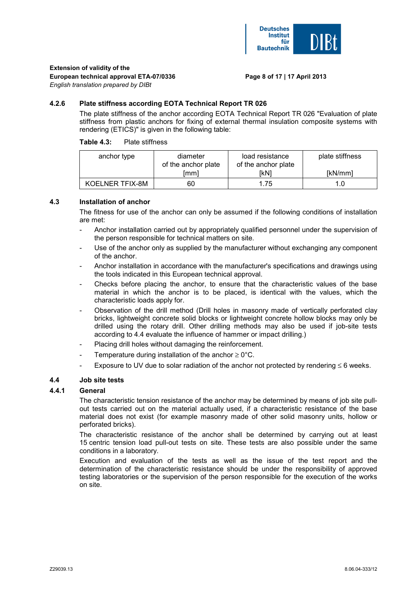

#### **Extension of validity of the**

**European technical approval ETA-07/0336** 

*English translation prepared by DIBt*

#### **Page 8 of 17 | 17 April 2013**

## **4.2.6 Plate stiffness according EOTA Technical Report TR 026**

 The plate stiffness of the anchor according EOTA Technical Report TR 026 "Evaluation of plate stiffness from plastic anchors for fixing of external thermal insulation composite systems with rendering (ETICS)" is given in the following table:

#### **Table 4.3:** Plate stiffness

| anchor type     | diameter<br>of the anchor plate | load resistance<br>of the anchor plate | plate stiffness |
|-----------------|---------------------------------|----------------------------------------|-----------------|
|                 | [mm]                            | [kN]                                   | [kN/mm]         |
| KOELNER TFIX-8M | 60                              | 1.75                                   | 1.0             |

## **4.3 Installation of anchor**

 The fitness for use of the anchor can only be assumed if the following conditions of installation are met:

- Anchor installation carried out by appropriately qualified personnel under the supervision of the person responsible for technical matters on site.
- Use of the anchor only as supplied by the manufacturer without exchanging any component of the anchor.
- Anchor installation in accordance with the manufacturer's specifications and drawings using the tools indicated in this European technical approval.
- Checks before placing the anchor, to ensure that the characteristic values of the base material in which the anchor is to be placed, is identical with the values, which the characteristic loads apply for.
- Observation of the drill method (Drill holes in masonry made of vertically perforated clay bricks, lightweight concrete solid blocks or lightweight concrete hollow blocks may only be drilled using the rotary drill. Other drilling methods may also be used if job-site tests according to 4.4 evaluate the influence of hammer or impact drilling.)
- Placing drill holes without damaging the reinforcement.
- Temperature during installation of the anchor  $\geq 0^{\circ}$ C.
- Exposure to UV due to solar radiation of the anchor not protected by rendering  $\leq 6$  weeks.

## **4.4 Job site tests**

## **4.4.1 General**

 The characteristic tension resistance of the anchor may be determined by means of job site pullout tests carried out on the material actually used, if a characteristic resistance of the base material does not exist (for example masonry made of other solid masonry units, hollow or perforated bricks).

 The characteristic resistance of the anchor shall be determined by carrying out at least 15 centric tension load pull-out tests on site. These tests are also possible under the same conditions in a laboratory.

 Execution and evaluation of the tests as well as the issue of the test report and the determination of the characteristic resistance should be under the responsibility of approved testing laboratories or the supervision of the person responsible for the execution of the works on site.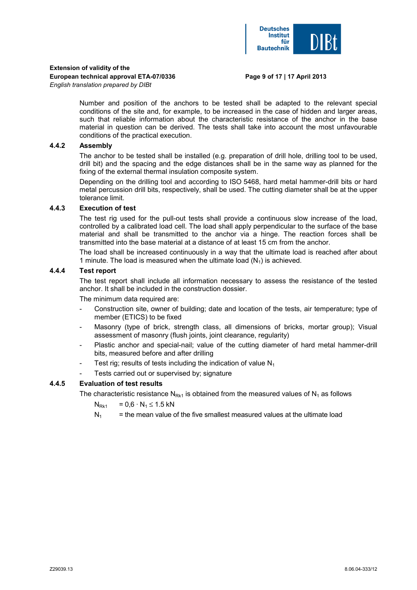

## **Extension of validity of the European technical approval ETA-07/0336**

#### **Page 9 of 17 | 17 April 2013**

*English translation prepared by DIBt*

 Number and position of the anchors to be tested shall be adapted to the relevant special conditions of the site and, for example, to be increased in the case of hidden and larger areas, such that reliable information about the characteristic resistance of the anchor in the base material in question can be derived. The tests shall take into account the most unfavourable conditions of the practical execution.

## **4.4.2 Assembly**

 The anchor to be tested shall be installed (e.g. preparation of drill hole, drilling tool to be used, drill bit) and the spacing and the edge distances shall be in the same way as planned for the fixing of the external thermal insulation composite system.

 Depending on the drilling tool and according to ISO 5468, hard metal hammer-drill bits or hard metal percussion drill bits, respectively, shall be used. The cutting diameter shall be at the upper tolerance limit.

#### **4.4.3 Execution of test**

 The test rig used for the pull-out tests shall provide a continuous slow increase of the load, controlled by a calibrated load cell. The load shall apply perpendicular to the surface of the base material and shall be transmitted to the anchor via a hinge. The reaction forces shall be transmitted into the base material at a distance of at least 15 cm from the anchor.

 The load shall be increased continuously in a way that the ultimate load is reached after about 1 minute. The load is measured when the ultimate load  $(N_1)$  is achieved.

#### **4.4.4 Test report**

 The test report shall include all information necessary to assess the resistance of the tested anchor. It shall be included in the construction dossier.

The minimum data required are:

- Construction site, owner of building; date and location of the tests, air temperature; type of member (ETICS) to be fixed
- Masonry (type of brick, strength class, all dimensions of bricks, mortar group); Visual assessment of masonry (flush joints, joint clearance, regularity)
- Plastic anchor and special-nail; value of the cutting diameter of hard metal hammer-drill bits, measured before and after drilling
- Test rig; results of tests including the indication of value  $N_1$
- Tests carried out or supervised by: signature

## **4.4.5 Evaluation of test results**

The characteristic resistance  $N_{Rk1}$  is obtained from the measured values of  $N_1$  as follows

$$
N_{Rk1} = 0.6 \cdot N_1 \le 1.5 \text{ kN}
$$

 $N_1$  = the mean value of the five smallest measured values at the ultimate load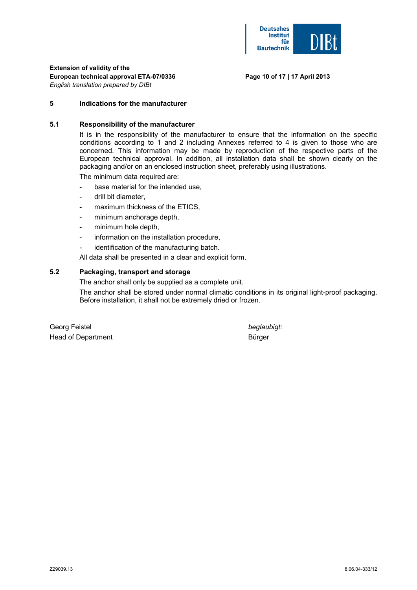

#### **Page 10 of 17 | 17 April 2013**

## **5 Indications for the manufacturer**

#### **5.1 Responsibility of the manufacturer**

 It is in the responsibility of the manufacturer to ensure that the information on the specific conditions according to 1 and 2 including Annexes referred to 4 is given to those who are concerned. This information may be made by reproduction of the respective parts of the European technical approval. In addition, all installation data shall be shown clearly on the packaging and/or on an enclosed instruction sheet, preferably using illustrations.

The minimum data required are:

- base material for the intended use,
- drill bit diameter.
- maximum thickness of the ETICS,
- minimum anchorage depth,
- minimum hole depth,
- information on the installation procedure,
- identification of the manufacturing batch.

All data shall be presented in a clear and explicit form.

## **5.2 Packaging, transport and storage**

 The anchor shall only be supplied as a complete unit. The anchor shall be stored under normal climatic conditions in its original light-proof packaging. Before installation, it shall not be extremely dried or frozen.

Georg Feistel *beglaubigt:* Head of Department Bürger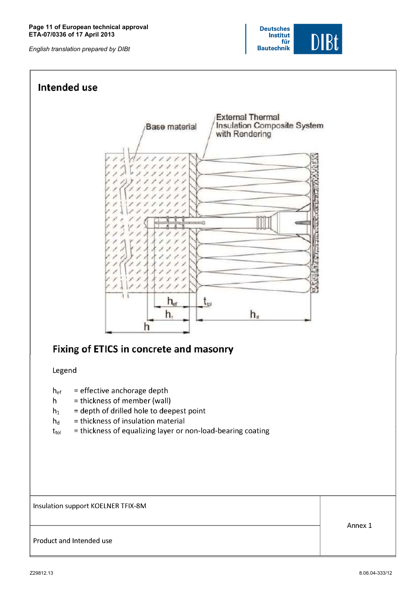#### **Page 11 of European technical approval ETA-07/0336 of 17 April 2013**

*English translation prepared by DIBt* 



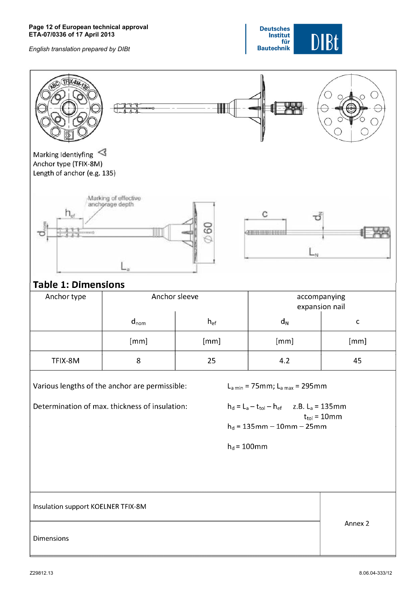#### **Page 12 of European technical approval ETA-07/0336 of 17 April 2013**

*English translation prepared by DIBt* 



|                                                                                                                                                                                                                                                                                           | $\begin{array}{c} \begin{array}{c} \begin{array}{c} \end{array} \end{array}$ |          |                           |                                |  |
|-------------------------------------------------------------------------------------------------------------------------------------------------------------------------------------------------------------------------------------------------------------------------------------------|------------------------------------------------------------------------------|----------|---------------------------|--------------------------------|--|
| Marking Identiyfing $\triangleleft$<br>Anchor type (TFIX-8M)<br>Length of anchor (e.g. 135)                                                                                                                                                                                               |                                                                              |          |                           |                                |  |
|                                                                                                                                                                                                                                                                                           | Marking of effective<br>anchorage depth<br>×ä                                | 09       | С<br>*****************    |                                |  |
| Anchor type                                                                                                                                                                                                                                                                               | <b>Table 1: Dimensions</b><br>Anchor sleeve<br>accompanying                  |          |                           |                                |  |
|                                                                                                                                                                                                                                                                                           | $d_{nom}$                                                                    | $h_{ef}$ | $\mathsf{d}_{\mathsf{N}}$ | expansion nail<br>$\mathsf{C}$ |  |
|                                                                                                                                                                                                                                                                                           | [mm]                                                                         | [mm]     | [mm]                      | [mm]                           |  |
| TFIX-8M                                                                                                                                                                                                                                                                                   | $\bf 8$                                                                      | 25       | 4.2                       | 45                             |  |
| Various lengths of the anchor are permissible:<br>$L_{\text{a min}}$ = 75mm; $L_{\text{a max}}$ = 295mm<br>Determination of max. thickness of insulation:<br>$h_d = L_a - t_{tol} - h_{ef}$ z.B. $L_a = 135$ mm<br>$\rm t_{tol}$ = 10mm<br>$h_d = 135$ mm – 10mm – 25mm<br>$h_d = 100$ mm |                                                                              |          |                           |                                |  |
| Insulation support KOELNER TFIX-8M                                                                                                                                                                                                                                                        |                                                                              |          |                           | Annex 2                        |  |
| Dimensions                                                                                                                                                                                                                                                                                |                                                                              |          |                           |                                |  |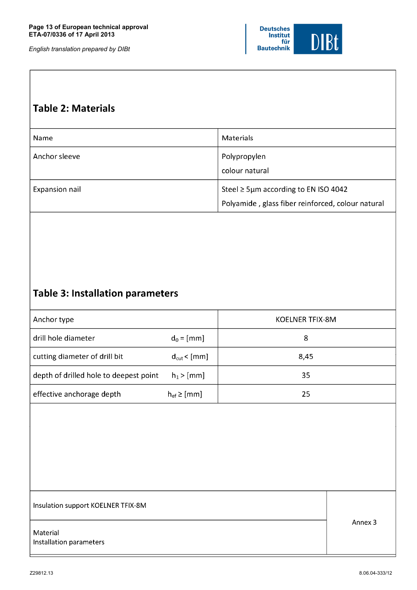#### **Page 13 of European technical approval ETA-07/0336 of 17 April 2013**

*English translation prepared by DIBt* 



## **Table 2: Materials**

| Name           | Materials                                                                                      |
|----------------|------------------------------------------------------------------------------------------------|
| Anchor sleeve  | Polypropylen<br>colour natural                                                                 |
| Expansion nail | Steel $\geq$ 5µm according to EN ISO 4042<br>Polyamide, glass fiber reinforced, colour natural |

# Table 3: Installation parameters

| Anchor type                            |                         | KOELNER TFIX-8M |
|----------------------------------------|-------------------------|-----------------|
| drill hole diameter                    | $d_0 = [mm]$            | 8               |
| cutting diameter of drill bit          | $d_{\text{cut}} <$ [mm] | 8,45            |
| depth of drilled hole to deepest point | $h_1 > [mm]$            | 35              |
| effective anchorage depth              | $h_{ef} \geq [mm]$      | 25              |

Insulation support KOELNER TFIX-8M

Material Installation parameters Annex 3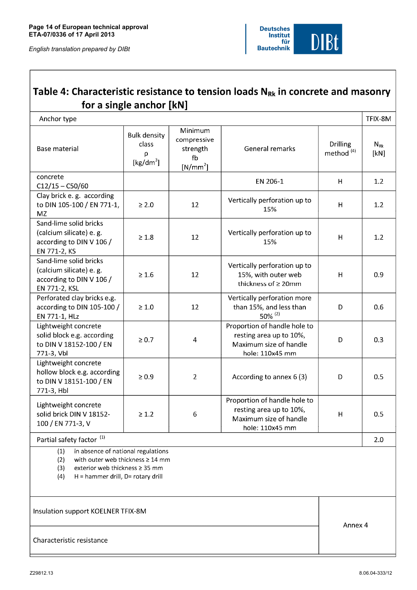*English translation prepared by DIBt* 



# Table 4: Characteristic resistance to tension loads N<sub>Rk</sub> in concrete and masonry for a single anchor [kN]

| Anchor type                                                                                                                                                                    |                                                   |                                                        |                                                                                                      |                                          | TFIX-8M              |
|--------------------------------------------------------------------------------------------------------------------------------------------------------------------------------|---------------------------------------------------|--------------------------------------------------------|------------------------------------------------------------------------------------------------------|------------------------------------------|----------------------|
| <b>Base material</b>                                                                                                                                                           | <b>Bulk density</b><br>class<br>٥<br>[ $kg/dm3$ ] | Minimum<br>compressive<br>strength<br>fb<br>$[N/mm^2]$ | General remarks                                                                                      | <b>Drilling</b><br>method <sup>(4)</sup> | $N_{\rm Rk}$<br>[kN] |
| concrete<br>$C12/15 - C50/60$                                                                                                                                                  |                                                   |                                                        | EN 206-1                                                                                             | н                                        | 1.2                  |
| Clay brick e. g. according<br>to DIN 105-100 / EN 771-1,<br><b>MZ</b>                                                                                                          | $\geq 2.0$                                        | 12                                                     | Vertically perforation up to<br>15%                                                                  | H                                        | 1.2                  |
| Sand-lime solid bricks<br>(calcium silicate) e. g.<br>according to DIN V 106 /<br>EN 771-2, KS                                                                                 | $\geq 1.8$                                        | 12                                                     | Vertically perforation up to<br>15%                                                                  | H                                        | 1.2                  |
| Sand-lime solid bricks<br>(calcium silicate) e. g.<br>according to DIN V 106 /<br>EN 771-2, KSL                                                                                | $\geq 1.6$                                        | 12                                                     | Vertically perforation up to<br>15%, with outer web<br>thickness of $\geq 20$ mm                     | H                                        | 0.9                  |
| Perforated clay bricks e.g.<br>according to DIN 105-100 /<br>EN 771-1, HLz                                                                                                     | $\geq 1.0$                                        | 12                                                     | Vertically perforation more<br>than 15%, and less than<br>$50\%$ <sup>(2)</sup>                      | D                                        | 0.6                  |
| Lightweight concrete<br>solid block e.g. according<br>to DIN V 18152-100 / EN<br>771-3, Vbl                                                                                    | $\geq 0.7$                                        | $\overline{4}$                                         | Proportion of handle hole to<br>resting area up to 10%,<br>Maximum size of handle<br>hole: 110x45 mm | D                                        | 0.3                  |
| Lightweight concrete<br>hollow block e.g. according<br>to DIN V 18151-100 / EN<br>771-3, Hbl                                                                                   | $\geq 0.9$                                        | $\overline{2}$                                         | According to annex 6 (3)                                                                             | D                                        | 0.5                  |
| Lightweight concrete<br>solid brick DIN V 18152-<br>100 / EN 771-3, V                                                                                                          | $\geq 1.2$                                        | 6                                                      | Proportion of handle hole to<br>resting area up to 10%,<br>Maximum size of handle<br>hole: 110x45 mm | H                                        | 0.5                  |
| Partial safety factor <sup>(1)</sup>                                                                                                                                           |                                                   |                                                        |                                                                                                      |                                          | 2.0                  |
| in absence of national regulations<br>(1)<br>with outer web thickness $\geq 14$ mm<br>(2)<br>exterior web thickness ≥ 35 mm<br>(3)<br>(4)<br>H = hammer drill, D= rotary drill |                                                   |                                                        |                                                                                                      |                                          |                      |
| Insulation support KOELNER TFIX-8M                                                                                                                                             |                                                   |                                                        |                                                                                                      | Annex 4                                  |                      |
| Characteristic resistance                                                                                                                                                      |                                                   |                                                        |                                                                                                      |                                          |                      |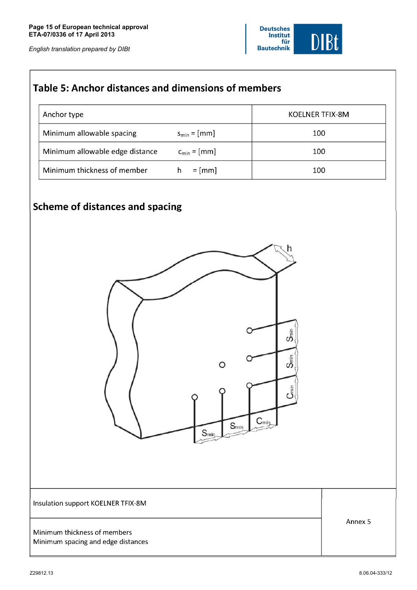*English translation prepared by DIBt* 



# Table 5: Anchor distances and dimensions of members

| Anchor type                     |                   | KOELNER TFIX-8M |
|---------------------------------|-------------------|-----------------|
| Minimum allowable spacing       | $s_{\min} = [mm]$ | 100             |
| Minimum allowable edge distance | $c_{\min} = [mm]$ | 100             |
| Minimum thickness of member     | $= [mm]$<br>h     | 100             |

# **Scheme of distances and spacing**



Insulation support KOELNER TFIX-8M

Minimum thickness of members Minimum spacing and edge distances Annex 5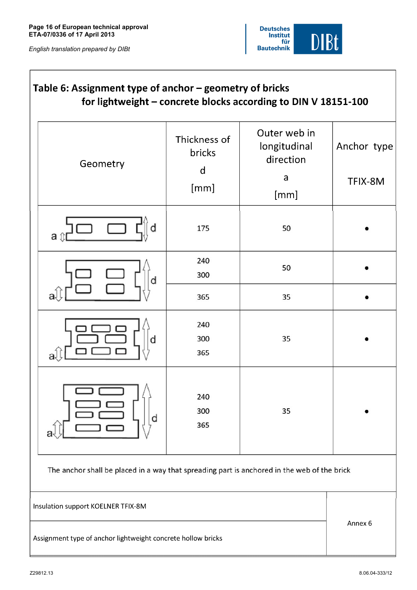*English translation prepared by DIBt* 



| Table 6: Assignment type of anchor - geometry of bricks<br>for lightweight - concrete blocks according to DIN V 18151-100 |                             |                                           |             |  |
|---------------------------------------------------------------------------------------------------------------------------|-----------------------------|-------------------------------------------|-------------|--|
| Geometry                                                                                                                  | Thickness of<br>bricks<br>d | Outer web in<br>longitudinal<br>direction | Anchor type |  |
|                                                                                                                           | [mm]                        | a                                         | TFIX-8M     |  |
|                                                                                                                           |                             | [mm]                                      |             |  |
| a                                                                                                                         | 175                         | 50                                        |             |  |
|                                                                                                                           | 240                         | 50                                        |             |  |
| d                                                                                                                         | 300                         |                                           |             |  |
|                                                                                                                           | 365                         | 35                                        |             |  |
|                                                                                                                           | 240                         |                                           |             |  |
| d                                                                                                                         | 300                         | 35                                        |             |  |
|                                                                                                                           | 365                         |                                           |             |  |
| О                                                                                                                         | 240<br>300<br>365           | 35                                        |             |  |
| The anchor shall be placed in a way that spreading part is anchored in the web of the brick                               |                             |                                           |             |  |
| Insulation support KOELNER TFIX-8M                                                                                        |                             |                                           |             |  |
| Assignment type of anchor lightweight concrete hollow bricks                                                              |                             | Annex 6                                   |             |  |